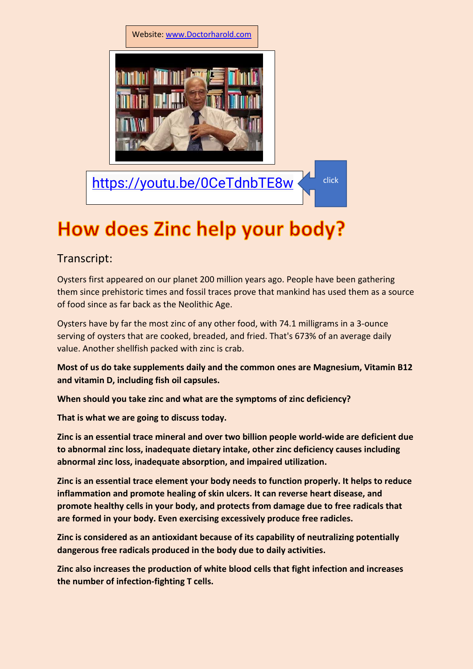Website[: www.Doctorharold.com](http://www.doctorharold.com/)



<https://youtu.be/0CeTdnbTE8w>

## How does Zinc help your body?

## Transcript:

Oysters first appeared on our planet 200 million years ago. People have been gathering them since prehistoric times and fossil traces prove that mankind has used them as a source of food since as far back as the Neolithic Age.

Oysters have by far the most zinc of any other food, with 74.1 milligrams in a 3-ounce serving of oysters that are cooked, breaded, and fried. That's 673% of an average daily value. Another shellfish packed with zinc is crab.

**Most of us do take supplements daily and the common ones are Magnesium, Vitamin B12 and vitamin D, including fish oil capsules.**

**When should you take zinc and what are the symptoms of zinc deficiency?**

**That is what we are going to discuss today.** 

**Zinc is an essential trace mineral and over two billion people world-wide are deficient due to abnormal zinc loss, inadequate dietary intake, other zinc deficiency causes including abnormal zinc loss, inadequate absorption, and impaired utilization.**

**Zinc is an essential trace element your body needs to function properly. It helps to reduce inflammation and promote healing of skin ulcers. It can reverse heart disease, and promote healthy cells in your body, and protects from damage due to free radicals that are formed in your body. Even exercising excessively produce free radicles.**

**Zinc is considered as an antioxidant because of its capability of neutralizing potentially dangerous free radicals produced in the body due to daily activities.**

**Zinc also increases the production of white blood cells that fight infection and increases the number of infection-fighting T cells.**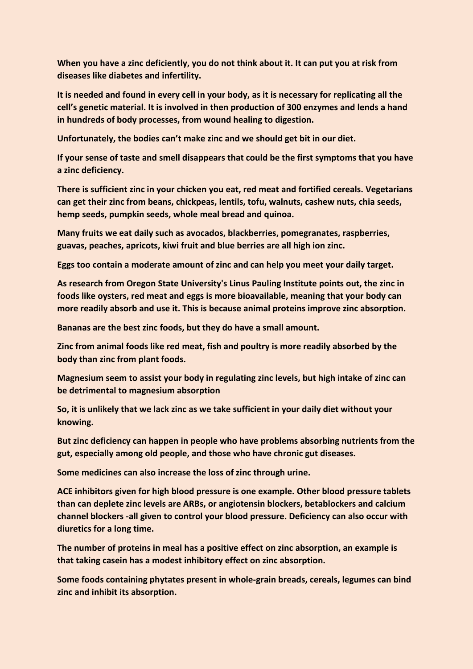**When you have a zinc deficiently, you do not think about it. It can put you at risk from diseases like diabetes and infertility.**

**It is needed and found in every cell in your body, as it is necessary for replicating all the cell's genetic material. It is involved in then production of 300 enzymes and lends a hand in hundreds of body processes, from wound healing to digestion.**

**Unfortunately, the bodies can't make zinc and we should get bit in our diet.**

**If your sense of taste and smell disappears that could be the first symptoms that you have a zinc deficiency.**

**There is sufficient zinc in your chicken you eat, red meat and fortified cereals. Vegetarians can get their zinc from beans, chickpeas, lentils, tofu, walnuts, cashew nuts, chia seeds, hemp seeds, pumpkin seeds, whole meal bread and quinoa.**

**Many fruits we eat daily such as avocados, blackberries, pomegranates, raspberries, guavas, peaches, apricots, kiwi fruit and blue berries are all high ion zinc.**

**Eggs too contain a moderate amount of zinc and can help you meet your daily target.**

**As research from Oregon State University's Linus Pauling Institute points out, the zinc in foods like oysters, red meat and eggs is more bioavailable, meaning that your body can more readily absorb and use it. This is because animal proteins improve zinc absorption.**

**Bananas are the best zinc foods, but they do have a small amount.**

**Zinc from animal foods like red meat, fish and poultry is more readily absorbed by the body than zinc from plant foods.**

**Magnesium seem to assist your body in regulating zinc levels, but high intake of zinc can be detrimental to magnesium absorption**

**So, it is unlikely that we lack zinc as we take sufficient in your daily diet without your knowing.**

**But zinc deficiency can happen in people who have problems absorbing nutrients from the gut, especially among old people, and those who have chronic gut diseases.**

**Some medicines can also increase the loss of zinc through urine.**

**ACE inhibitors given for high blood pressure is one example. Other blood pressure tablets than can deplete zinc levels are ARBs, or angiotensin blockers, betablockers and calcium channel blockers -all given to control your blood pressure. Deficiency can also occur with diuretics for a long time.**

**The number of proteins in meal has a positive effect on zinc absorption, an example is that taking casein has a modest inhibitory effect on zinc absorption.**

**Some foods containing phytates present in whole-grain breads, cereals, legumes can bind zinc and inhibit its absorption.**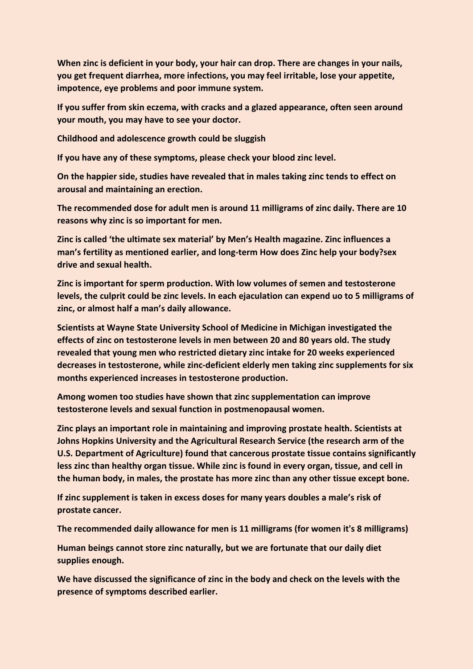**When zinc is deficient in your body, your hair can drop. There are changes in your nails, you get frequent diarrhea, more infections, you may feel irritable, lose your appetite, impotence, eye problems and poor immune system.**

**If you suffer from skin eczema, with cracks and a glazed appearance, often seen around your mouth, you may have to see your doctor.**

**Childhood and adolescence growth could be sluggish**

**If you have any of these symptoms, please check your blood zinc level.**

**On the happier side, studies have revealed that in males taking zinc tends to effect on arousal and maintaining an erection.**

**The recommended dose for adult men is around 11 milligrams of zinc daily. There are 10 reasons why zinc is so important for men.**

**Zinc is called 'the ultimate sex material' by Men's Health magazine. Zinc influences a man's fertility as mentioned earlier, and long-term How does Zinc help your body?sex drive and sexual health.**

**Zinc is important for sperm production. With low volumes of semen and testosterone levels, the culprit could be zinc levels. In each ejaculation can expend uo to 5 milligrams of zinc, or almost half a man's daily allowance.**

**Scientists at Wayne State University School of Medicine in Michigan investigated the effects of zinc on testosterone levels in men between 20 and 80 years old. The study revealed that young men who restricted dietary zinc intake for 20 weeks experienced decreases in testosterone, while zinc-deficient elderly men taking zinc supplements for six months experienced increases in testosterone production.**

**Among women too studies have shown that zinc supplementation can improve testosterone levels and sexual function in postmenopausal women.**

**Zinc plays an important role in maintaining and improving prostate health. Scientists at Johns Hopkins University and the Agricultural Research Service (the research arm of the U.S. Department of Agriculture) found that cancerous prostate tissue contains significantly less zinc than healthy organ tissue. While zinc is found in every organ, tissue, and cell in the human body, in males, the prostate has more zinc than any other tissue except bone.**

**If zinc supplement is taken in excess doses for many years doubles a male's risk of prostate cancer.**

**The recommended daily allowance for men is 11 milligrams (for women it's 8 milligrams)**

**Human beings cannot store zinc naturally, but we are fortunate that our daily diet supplies enough.**

**We have discussed the significance of zinc in the body and check on the levels with the presence of symptoms described earlier.**